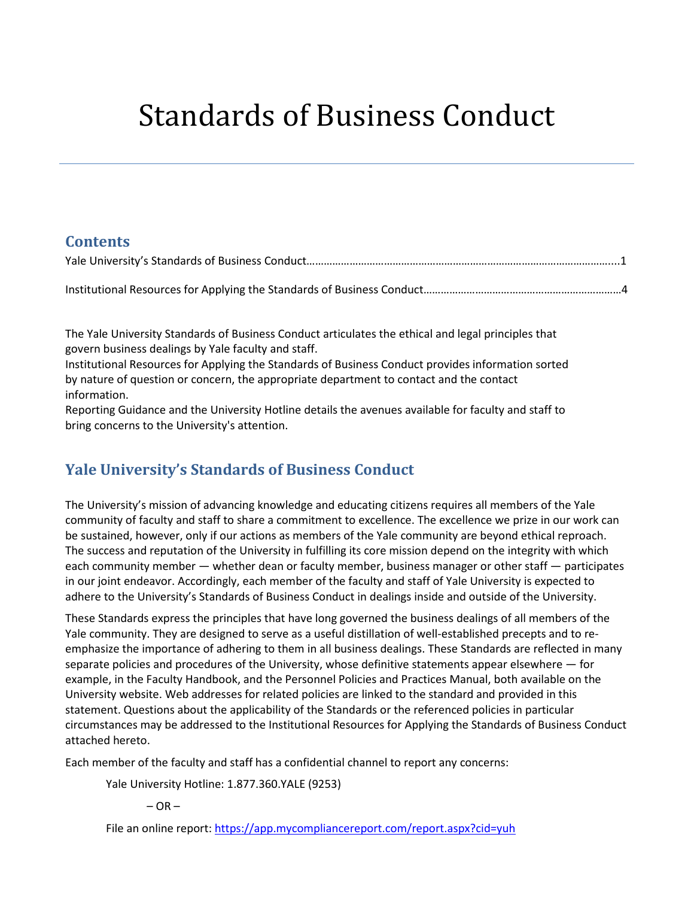# Standards of Business Conduct

## **Contents**

The Yale University Standards of Business Conduct articulates the ethical and legal principles that govern business dealings by Yale faculty and staff.

Institutional Resources for Applying the Standards of Business Conduct provides information sorted by nature of question or concern, the appropriate department to contact and the contact information.

Reporting Guidance and the University Hotline details the avenues available for faculty and staff to bring concerns to the University's attention.

# <span id="page-0-0"></span>**Yale University's Standards of Business Conduct**

The University's mission of advancing knowledge and educating citizens requires all members of the Yale community of faculty and staff to share a commitment to excellence. The excellence we prize in our work can be sustained, however, only if our actions as members of the Yale community are beyond ethical reproach. The success and reputation of the University in fulfilling its core mission depend on the integrity with which each community member — whether dean or faculty member, business manager or other staff — participates in our joint endeavor. Accordingly, each member of the faculty and staff of Yale University is expected to adhere to the University's Standards of Business Conduct in dealings inside and outside of the University.

These Standards express the principles that have long governed the business dealings of all members of the Yale community. They are designed to serve as a useful distillation of well-established precepts and to reemphasize the importance of adhering to them in all business dealings. These Standards are reflected in many separate policies and procedures of the University, whose definitive statements appear elsewhere  $-$  for example, in the Faculty Handbook, and the Personnel Policies and Practices Manual, both available on the University website. Web addresses for related policies are linked to the standard and provided in this statement. Questions about the applicability of the Standards or the referenced policies in particular circumstances may be addressed to the Institutional Resources for Applying the Standards of Business Conduct attached hereto.

Each member of the faculty and staff has a confidential channel to report any concerns:

Yale University Hotline: 1.877.360.YALE (9253)

 $-$  OR  $-$ 

File an online report: https://app.mycompliancereport.com/report.aspx?cid=yuh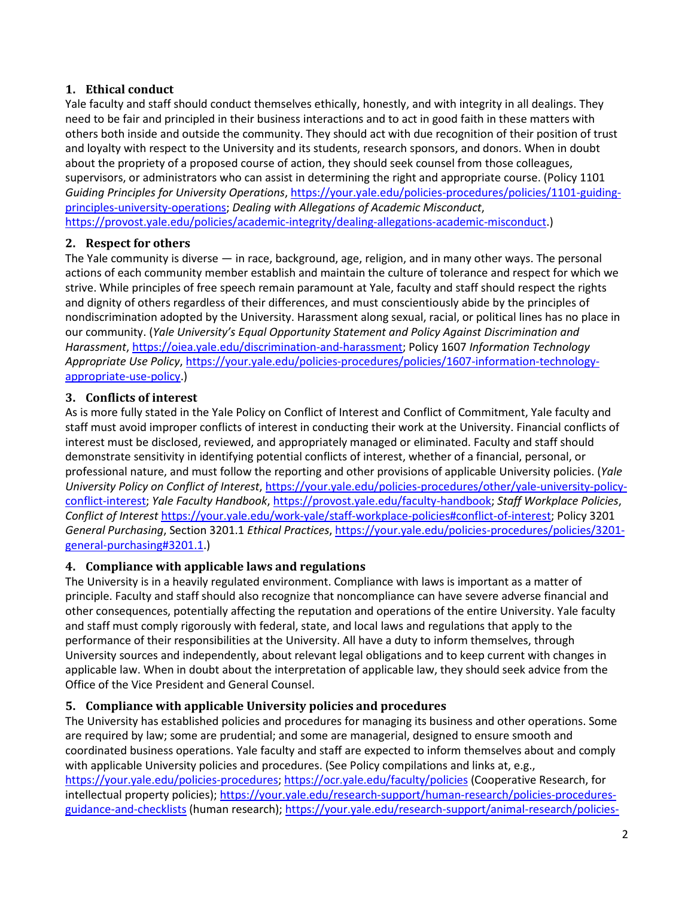#### **1. Ethical conduct**

Yale faculty and staff should conduct themselves ethically, honestly, and with integrity in all dealings. They need to be fair and principled in their business interactions and to act in good faith in these matters with others both inside and outside the community. They should act with due recognition of their position of trust and loyalty with respect to the University and its students, research sponsors, and donors. When in doubt about the propriety of a proposed course of action, they should seek counsel from those colleagues, supervisors, or administrators who can assist in determining the right and appropriate course. (Policy 1101 *Guiding Principles for University Operations*[, https://your.yale.edu/policies-procedures/policies/1101-guiding](https://your.yale.edu/policies-procedures/policies/1101-guiding-principles-university-operations)[principles-university-operations;](https://your.yale.edu/policies-procedures/policies/1101-guiding-principles-university-operations) *Dealing with Allegations of Academic Misconduct*, [https://provost.yale.edu/policies/academic-integrity/dealing-allegations-academic-misconduct.](https://provost.yale.edu/policies/academic-integrity/dealing-allegations-academic-misconduct))

#### **2. Respect for others**

The Yale community is diverse — in race, background, age, religion, and in many other ways. The personal actions of each community member establish and maintain the culture of tolerance and respect for which we strive. While principles of free speech remain paramount at Yale, faculty and staff should respect the rights and dignity of others regardless of their differences, and must conscientiously abide by the principles of nondiscrimination adopted by the University. Harassment along sexual, racial, or political lines has no place in our community. (*Yale University's Equal Opportunity Statement and Policy Against Discrimination and Harassment*, [https://oiea.yale.edu/discrimination-and-harassment;](https://oiea.yale.edu/discrimination-and-harassment) Policy 1607 *Information Technology Appropriate Use Policy*, [https://your.yale.edu/policies-procedures/policies/1607-information-technology](https://your.yale.edu/policies-procedures/policies/1607-information-technology-appropriate-use-policy)[appropriate-use-policy.](https://your.yale.edu/policies-procedures/policies/1607-information-technology-appropriate-use-policy))

#### **3. Conflicts of interest**

As is more fully stated in the Yale Policy on Conflict of Interest and Conflict of Commitment, Yale faculty and staff must avoid improper conflicts of interest in conducting their work at the University. Financial conflicts of interest must be disclosed, reviewed, and appropriately managed or eliminated. Faculty and staff should demonstrate sensitivity in identifying potential conflicts of interest, whether of a financial, personal, or professional nature, and must follow the reporting and other provisions of applicable University policies. (*Yale University Policy on Conflict of Interest*, [https://your.yale.edu/policies-procedures/other/yale-university-policy](https://your.yale.edu/policies-procedures/other/yale-university-policy-conflict-interest)[conflict-interest;](https://your.yale.edu/policies-procedures/other/yale-university-policy-conflict-interest) *Yale Faculty Handbook*, [https://provost.yale.edu/faculty-handbook;](https://provost.yale.edu/faculty-handbook) *Staff Workplace Policies*, *Conflict of Interest* [https://your.yale.edu/work-yale/staff-workplace-policies#conflict-of-interest;](https://your.yale.edu/work-yale/staff-workplace-policies#conflict-of-interest) Policy 3201 *General Purchasing*, Section 3201.1 *Ethical Practices*, [https://your.yale.edu/policies-procedures/policies/3201](https://your.yale.edu/policies-procedures/policies/3201-general-purchasing#3201.1) [general-purchasing#3201.1.](https://your.yale.edu/policies-procedures/policies/3201-general-purchasing#3201.1))

#### **4. Compliance with applicable laws and regulations**

The University is in a heavily regulated environment. Compliance with laws is important as a matter of principle. Faculty and staff should also recognize that noncompliance can have severe adverse financial and other consequences, potentially affecting the reputation and operations of the entire University. Yale faculty and staff must comply rigorously with federal, state, and local laws and regulations that apply to the performance of their responsibilities at the University. All have a duty to inform themselves, through University sources and independently, about relevant legal obligations and to keep current with changes in applicable law. When in doubt about the interpretation of applicable law, they should seek advice from the Office of the Vice President and General Counsel.

#### **5. Compliance with applicable University policies and procedures**

The University has established policies and procedures for managing its business and other operations. Some are required by law; some are prudential; and some are managerial, designed to ensure smooth and coordinated business operations. Yale faculty and staff are expected to inform themselves about and comply with applicable University policies and procedures. (See Policy compilations and links at, e.g., [https://your.yale.edu/policies-procedures;](https://your.yale.edu/policies-procedures)<https://ocr.yale.edu/faculty/policies> (Cooperative Research, for intellectual property policies); [https://your.yale.edu/research-support/human-research/policies-procedures](https://your.yale.edu/research-support/human-research/policies-procedures-guidance-and-checklists)[guidance-and-checklists](https://your.yale.edu/research-support/human-research/policies-procedures-guidance-and-checklists) (human research)[; https://your.yale.edu/research-support/animal-research/policies-](https://your.yale.edu/research-support/animal-research/policies-procedures-guidelines-and-instructions)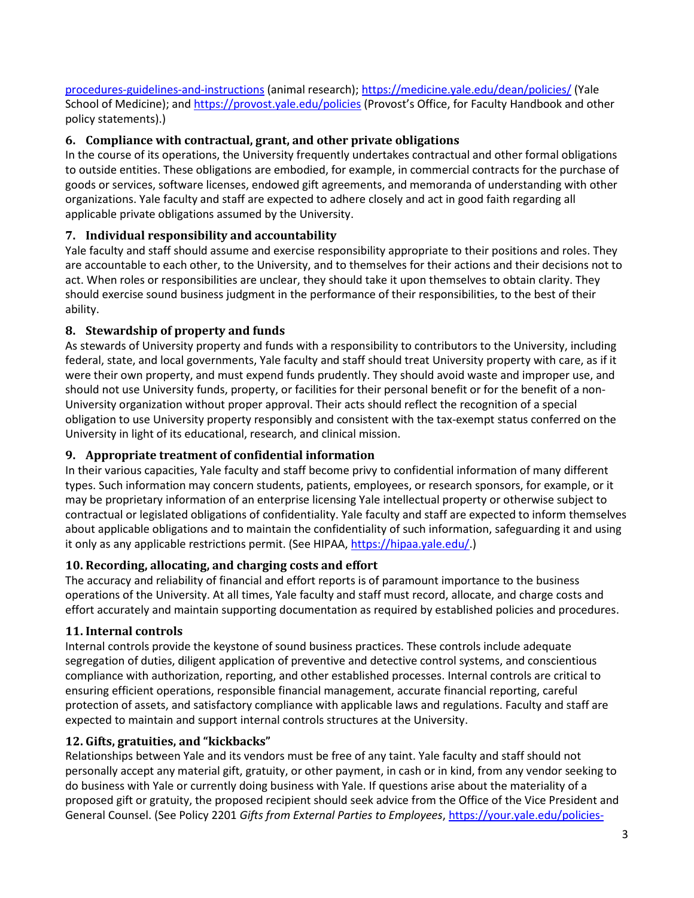[procedures-guidelines-and-instructions](https://your.yale.edu/research-support/animal-research/policies-procedures-guidelines-and-instructions) (animal research);<https://medicine.yale.edu/dean/policies/> (Yale School of Medicine); and <https://provost.yale.edu/policies> (Provost's Office, for Faculty Handbook and other policy statements).)

## **6. Compliance with contractual, grant, and other private obligations**

In the course of its operations, the University frequently undertakes contractual and other formal obligations to outside entities. These obligations are embodied, for example, in commercial contracts for the purchase of goods or services, software licenses, endowed gift agreements, and memoranda of understanding with other organizations. Yale faculty and staff are expected to adhere closely and act in good faith regarding all applicable private obligations assumed by the University.

## **7. Individual responsibility and accountability**

Yale faculty and staff should assume and exercise responsibility appropriate to their positions and roles. They are accountable to each other, to the University, and to themselves for their actions and their decisions not to act. When roles or responsibilities are unclear, they should take it upon themselves to obtain clarity. They should exercise sound business judgment in the performance of their responsibilities, to the best of their ability.

## **8. Stewardship of property and funds**

As stewards of University property and funds with a responsibility to contributors to the University, including federal, state, and local governments, Yale faculty and staff should treat University property with care, as if it were their own property, and must expend funds prudently. They should avoid waste and improper use, and should not use University funds, property, or facilities for their personal benefit or for the benefit of a non-University organization without proper approval. Their acts should reflect the recognition of a special obligation to use University property responsibly and consistent with the tax-exempt status conferred on the University in light of its educational, research, and clinical mission.

## **9. Appropriate treatment of confidential information**

In their various capacities, Yale faculty and staff become privy to confidential information of many different types. Such information may concern students, patients, employees, or research sponsors, for example, or it may be proprietary information of an enterprise licensing Yale intellectual property or otherwise subject to contractual or legislated obligations of confidentiality. Yale faculty and staff are expected to inform themselves about applicable obligations and to maintain the confidentiality of such information, safeguarding it and using it only as any applicable restrictions permit. (See HIPAA, [https://hipaa.yale.edu/.](https://hipaa.yale.edu/))

## **10. Recording, allocating, and charging costs and effort**

The accuracy and reliability of financial and effort reports is of paramount importance to the business operations of the University. At all times, Yale faculty and staff must record, allocate, and charge costs and effort accurately and maintain supporting documentation as required by established policies and procedures.

## **11. Internal controls**

Internal controls provide the keystone of sound business practices. These controls include adequate segregation of duties, diligent application of preventive and detective control systems, and conscientious compliance with authorization, reporting, and other established processes. Internal controls are critical to ensuring efficient operations, responsible financial management, accurate financial reporting, careful protection of assets, and satisfactory compliance with applicable laws and regulations. Faculty and staff are expected to maintain and support internal controls structures at the University.

## **12. Gifts, gratuities, and "kickbacks"**

Relationships between Yale and its vendors must be free of any taint. Yale faculty and staff should not personally accept any material gift, gratuity, or other payment, in cash or in kind, from any vendor seeking to do business with Yale or currently doing business with Yale. If questions arise about the materiality of a proposed gift or gratuity, the proposed recipient should seek advice from the Office of the Vice President and General Counsel. (See Policy 2201 *Gifts from External Parties to Employees*, [https://your.yale.edu/policies-](https://your.yale.edu/policies-procedures/policies/2201-gifts-external-parties-employees)